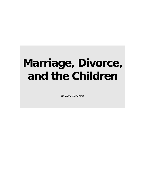# **Marriage, Divorce, and the Children**

*By Dave Roberson*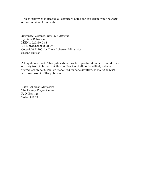Unless otherwise indicated, all Scripture notations are taken from the *King James Version* of the Bible.

*Marriage, Divorce, and the Children*  By Dave Roberson ISBN 1-929339-03-8 ISBN 978-1-929339-03-7 Copyright © 2001 by Dave Roberson Ministries Second Edition

All rights reserved. This publication may be reproduced and circulated in its entirety free of charge, but this publication shall not be edited, redacted, reproduced in part, sold, or exchanged for consideration, without the prior written consent of the publisher.

Dave Roberson Ministries The Family Prayer Center P. O. Box 725 Tulsa, OK 74101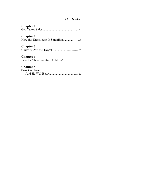## *Contents*

| <b>Chapter 1</b>                                       |
|--------------------------------------------------------|
| <b>Chapter 2</b>                                       |
| <b>Chapter 3</b>                                       |
| <b>Chapter 4</b><br>Let's Be There for Our Children! 9 |
| Chapter 5<br>Seek God First,                           |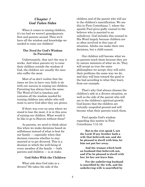## *Chapter 1 God Takes Sides*

When it comes to raising children, it's too bad we weren't grandparents first and parents second. Then we'd have all the wisdom and knowledge we needed to raise our children!

#### **The Need for God's Wisdom In Parenting**

Unfortunately, that isn't the way it works. And when parents try to raise their children outside the wisdom of God, the children are usually the ones who suffer the most.

Most of us don't realize that the times we live in have very little to do with our success in raising our children. Parenting has always been the same. The Word of God is timeless and contains all the wisdom needed for turning children into adults who still want to serve God after they are grown.

If there was ever an area where we stand to lose the most, it is in this area of raising our children. What would it be like to go to Heaven without them?

As parents, we need to think about this when we make decisions based on selfishness instead of what is best for our family — especially when that decision concerns whether to stay married or to get divorced. This is a decision in which the well-being of every member of the family — both parents and children — is at stake.

#### **God Sides With the Children**

What side does God take in a divorce? He takes the side of the

children and of the parent who will see to the children's sanctification. We see this in First Corinthians 7, where the apostle Paul gives godly counsel to the believer who is married to an unbeliever. God includes this counsel in His Word largely because children are so often involved in this type of situation. Adults can make their own decisions, but a child cannot.

Our children will become what we as parents teach them because they are by nature imitators of what we do. They will accept as true the same philosophies we accept; they will solve their problems the same way we do; and they will lean toward the good or the bad according to what they learn from our example.

That's why God always chooses the children's side in a divorce situation, as well as the side of the parent who will see to the children's spiritual growth. God knows that the children are virtually unspoiled ground and will become what their parents teach them.

Paul speaks God's wisdom regarding this matter in First Corinthians 7:12-16:

**But to the rest speak I, not the Lord: If any brother hath a wife that believeth not, and she be pleased to dwell with him, let him not put her away.** 

**And the woman which hath an husband that believeth not, and if he be pleased to dwell with her, let her not leave him.** 

**For the unbelieving husband is sanctified by the wife, and the unbelieving wife is sanctified by**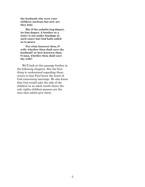**the husband: else were your children unclean; but now are they holy.** 

**But if the unbelieving depart, let him depart. A brother or a sister is not under bondage in such cases: but God hath called us to peace.** 

**For what knowest thou, O wife, whether thou shalt save thy husband? or how knowest thou, O man, whether thou shalt save thy wife?** 

We'll look at this passage further in the following chapters. But the first thing to understand regarding these verses is that Paul knew the heart of God concerning marriage. He also knew that God would take the side of the children in an adult world where the only rights children possess are the ones that adults give them.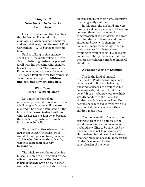## *Chapter 2 How the Unbeliever Is Sanctified*

Once we understand that God has the children on His mind in the marriage situation between a believer and an unbeliever, then the rest of First Corinthians 7:12-16 begins to open up to us.

Paul is talking in this passage about being unequally yoked. He says, "If an unbelieving husband is pleased to dwell with his believing wife, then let her not divorce him." The same is true if the unbelieving spouse is the wife. The reason Paul gives for this counsel is clear: **...else were your children unclean; but now are they holy**.

#### **What Does 'Pleased To Dwell' Mean?**

Let's take the case of an unbelieving husband who is married to a believing wife where children are involved. The apostle Paul said, "If the husband is pleased to dwell with his wife, let her not put him away because the unbelieving husband is sanctified by the believing wife."

"Sanctified" in this situation does **NOT** mean *saved*. Otherwise, Paul wouldn't have gone on to say in verse 16: **For what knowest thou, O wife, whether thou shalt save thy husband?...**

The whole reason the unbelieving husband is able to be sanctified by the wife in this situation is that he is **PLEASED TO DWELL** with her. In other words, he doesn't protest if she creates an atmosphere in their home conducive to raising godly children.

In this case, the husband and wife have worked out a pleasing relationship between them that includes the sanctification of the children. He agrees with her desire to take the children to church and pray with them in the home. He keeps his language clean in their presence. He abstains from drinking in front of them. He keeps his home free of filthy materials that may pervert his children's minds to immoral standards.

#### **A Parent's Worldly Example**

This is the kind of marital relationship Paul was talking about when he said, "If the unbelieving husband is pleased to dwell with his believing wife, let her not put him away." If the husband chose to exhibit worldly conduct in the home, the children would become unclean. But because he is pleased to dwell with his wife on God's terms, now are their children made holy.

You see, "sanctified" means to be separated from the filthiness of the world. So as long as the unbelieving husband is willing to be sanctified by his wife, she is not to put him away. Her husband has allowed her to teach him the things he needs to know for the children's sake and for the sanctification of the home.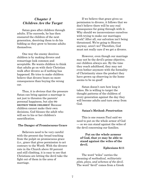## *Chapter 3 Children Are the Target*

Satan goes after children through adults. If he succeeds, he has then ensnared the children of the next generation, deceiving them to do his bidding as they grow to become adults themselves.

One way the enemy deceives children is by making divorce and remarriage look common and acceptable. He wants children to think that adults go on with their Christian walk after divorce as if nothing has happened. He tries to make children believe that divorce bears no more consequences than buying the wrong car.

Thus, it is obvious that the pressure Satan can bring against a marriage is not just to threaten the parents' personal happiness, but also **TO DESTROY THEIR CHILDREN**! Because children cannot make their own decisions, God blesses the adult who will see to his or her children's sanctification.

#### **The Danger of Promiscuous Grace**

Believers need to be very careful with the present-day broad teaching from the pulpit on promiscuous grace (i.e., grace that gives permission to act contrary to the Word). With the divorce rate in the Church above 50 percent and still climbing, it is easy to see that Christians are letting the devil take the fight out of them in the area of marriage.

If we believe that grace gives us permission to divorce, it follows that we don't believe there will be any real consequence for going through with it. Why should we inconvenience ourselves with trying to make our marriages work? After all, our salvation isn't being threatened. We're going to Heaven anyway, aren't we? Therefore, God must not really care if we get a divorce.

However, even though our marriage may not be the devil's prime objective, our children always are. By the time they reach adulthood, they may not even bother anymore with the formality of Christianity since the product they have grown up observing in the home seems to be no good!

Satan doesn't care how long it takes. He is willing to target the thought patterns of the children of every generation against the day they will become adults and turn away from God.

#### **Satan's Method:** *Penetration*

This is one reason Paul said we need to put on the whole armor of God — so we can stand against the wiles of the devil concerning our families.

#### **Put on the whole armour of God, that ye may be able to stand against the wiles of the devil.**

#### **Ephesians 6:11**

The word "wiles" carries the meaning of *methodical, militaristic plots, ploys, and schemes of the devil*. The word "devil" comes from a Greek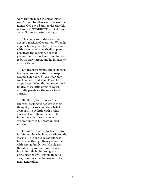word that includes the meaning of *penetration*. In other words, one of the names God gave Satan to describe his nature was "**PENETRATION**." God also called Satan a master strategist.

This helps us understand the enemy's method of operation. When he approaches a generation, he does so with a meticulous, methodical plan to penetrate the resistance of that generation. He has found our children to be an easy target, and he intends to destroy them.

Satan's persistence can be likened to single drops of water that keep dripping on a rock by the hour, day, week, month, and year. Those little drops keep hitting the same spot until, finally, those little drops of water actually penetrate the rock's hard surface.

Similarly, Satan goes after children, seeking to penetrate their thought processes and their belief system little by little with a wide variety of worldly influences. His intention is to raise each new generation with his programmed mindset.

Satan will also try to destroy any faithful adults who have weathered the storms. He is out to get adults who have come through their generation with strong family ties. His biggest threats are parents who endeavor to instill into their children godly principles that will enable them to carry the Christian banner into the next generation.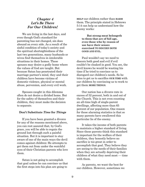## *Chapter 4 Let's Be There For Our Children!*

We are living in the last days, and even though God's standard for parenting has not changed, sin does abound on every side. As a result of the sinful condition of today's society and the spiritual shortsightedness of the last two generations, many husbands or wives find themselves in intolerable situations in their homes. These spouses may desire a godly home where the values of God are taught. But because Satan has penetrated their marriage partner's mind, they and their children have become victims of domestic violence, physical or mental abuse, perversion, and every evil work.

Spouses caught in this dilemma often do not desire a divided home. But for the safety of themselves and their children, they must make the decision to separate.

#### **Don't Substitute** *Time* **for** *Things*

If you have been granted a divorce for any of the reasons mentioned above, you can rest assured that, by God's grace, you will be able to regain the ground lost through such a painful situation. But it is important to stay aware of one of the main ways the devil comes against children: He attempts to get them out from under the watchful eyes of their Christian parents who love them.

Satan is not going to accomplish that goal unless he can convince us that the first steps into his plan are going to

**HELP** our children rather than **HARM** them. The principle stated in Hebrews 5:14 can help us understand how the enemy works:

> **But strong meat belongeth to them that are of full age, even those who by reason of use have their senses exercised TO DISCERN BOTH GOOD AND EVIL.**

Paul wouldn't say we need to discern both good and evil if evil couldn't be cloaked in good. You see, the devil knows he would be wasting his time if he tried to convince us to disregard our children's needs. So he tries to get us to sacrifice **OUR TIME** with our children by convincing us to work to get them **MORE THINGS**.

Our nation has a divorce rate in excess of 52 percent, both in and out of the Church. This is not even counting an all-time high of single-parent dwellings, affecting more than 65 percent of our population. One reason for these alarming statistics is that so many parents have swallowed this particular lie of the enemy.

It takes the income of both parents to maintain a higher standard of living. Since these parents think this standard is important for the welfare of their children, they honestly believe no sacrifice is too great in order to accomplish that goal. They believe they are seeing to the needs of their families when they are actually depriving their children of what they need most — time with them.

As parents, we want the best for our children. However, sometimes we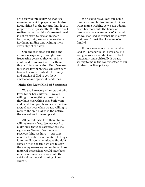are deceived into believing that it is more important to prepare our children for adulthood in the natural than it is to prepare them spiritually. We often don't realize that our children's greatest need is not an extra television in their bedrooms, but parents who are there for them, guiding and training them every step of the way.

Our children need our time and attention, especially through those frustrating years as they enter into adulthood. If we are there for them, they will turn to us first. But if we are **NOT** there for them, they will soon turn to another source outside the family and outside of God to get their emotional and spiritual needs met.

#### **Make the Right Kind of Sacrifices**

We are like every other parent who loves his or her children — we are willing to do anything to see to it that they have everything they both want and need. But good becomes evil in this area of our lives when we are willing to replace the spiritual with the natural, the eternal with the temporal.

All parents who love their children will make sacrifices. We just need to make sure that the sacrifices are the right ones. To sacrifice the most precious thing we have — our time in order to obtain more material things for our children is not always the right choice. Often the time we use to earn the money necessary to purchase those material possessions would have been much more wisely invested into the spiritual and moral training of our children.

We need to reevaluate our home lives with our children in mind. Do we want mama working so we can add an extra bedroom onto the house or purchase a newer second car? Or shall we wait for God to prosper us in a way that doesn't hurt the closeness of our family?

If there was ever an area in which God will prosper us, it is this one. He will give us an abundant return both materially and spiritually if we are willing to make the sanctification of our children our first priority.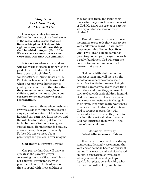## *Chapter 5 Seek God First, And He Will Hear*

Our responsibility to raise our children in the ways of the Lord is one of the reasons Jesus said, **But seek ye first the kingdom of God, and his righteousness; and all these things shall be added unto you** (Matt. 6:33). W**HAT BETTER REASON TO SEEK FIRST GOD'S KINGDOM THAN OUR CHILDREN?**

It is glorious when a husband and wife can work so closely together for the good of their children that one is left free to see to the children's sanctification. In First Timothy 5:14, Paul states how much it pleases God when a woman gives her energy to guiding the home: **I will therefore that the younger women marry, bear children, guide the house, give none occasion to the adversary to speak reproachfully.** 

But there are times when husbands or wives suddenly find themselves in a single-parent situation. Other times the husband can earn very little money and the wife has to work to put food on the table. In these situations, God gives special grace. He understands because, above all else, He is your Heavenly Father; He knows more about parenting than you could ever imagine.

#### **God Hears a Parent's Prayer**

One prayer that God will answer quickly is the parent's prayer concerning the sanctification of his or her children. For instance, when parents call out to the Lord for more time to spend with their children so

they can love them and guide them more effectively, this touches the heart of God. He hears the prayer of parents who cry out for the best for their children!

Even if it means God has to move mountains to see to it that your cry for your children is heard, He will move those mountains. Remember, **HE IS YOUR FATHER,** and He understands parenting. When your prayer has such a godly foundation, God will turn the entire situation around in order to answer that prayer.

God holds little children in the highest esteem and will move on the behalf of anyone who sees to their sanctification. So in the case of single or working parents who desire more time with their children, they just need to turn to God with their children in mind. God can move schedules, create jobs, and cause circumstances to change in their favor. If parents really want more time with their children and will trust God to bring it to pass, they will eventually have the time they need to sow into the most valuable treasures God has entrusted them with — the lives of their children.

#### **Consider Carefully What Affects Your Children**

If you are divorced and considering remarriage, I strongly recommend that your choice be made based on spiritual values. It is easy to make choices based on lust, desperation, or even greed when you are alone and perhaps fearful. But please consider fully what the outcome will be for your children.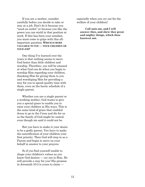If you are a mother, consider carefully before you decide to take or stay at a job. Don't do it because you "need an outlet" or because you like the power you can wield in that position at work. If this has been your mindset, you must come to grips with this allimportant question: **WHICH IS MORE VALUABLE TO YOU — YOUR CHILDREN OR YOUR JOB?** 

One thing I've learned over the years is that nothing seems to move God faster than little children and worship. Therefore, you will be amazed at what God can do when you begin to worship Him regarding your children, thanking Him for giving them to you and worshiping Him for providing a way for you to spend quality time with them, even on the hectic schedule of a single parent.

Whether you are a single parent or a working mother, God wants to give you a special grace to enable you to raise your children in His ways. This is the same kind of grace that enabled Jesus to go to the Cross and die for us so the family of God might be united, even though sin said it could not be.

But you have to make it your desire to be a godly parent. You have to make the sanctification of your children your first priority. Then God will step in as a Parent and begin to move on your behalf in answer to your prayers.

So if you find yourself unable to shape your children's values as you know God desires — cry out to Him. He will provide a way for you! His promise in Jeremiah 33:3 is yours to claim —

especially when you cry out for the welfare of your children!

**Call unto me, and I will answer thee, and shew thee great and mighty things, which thou knowest not.**